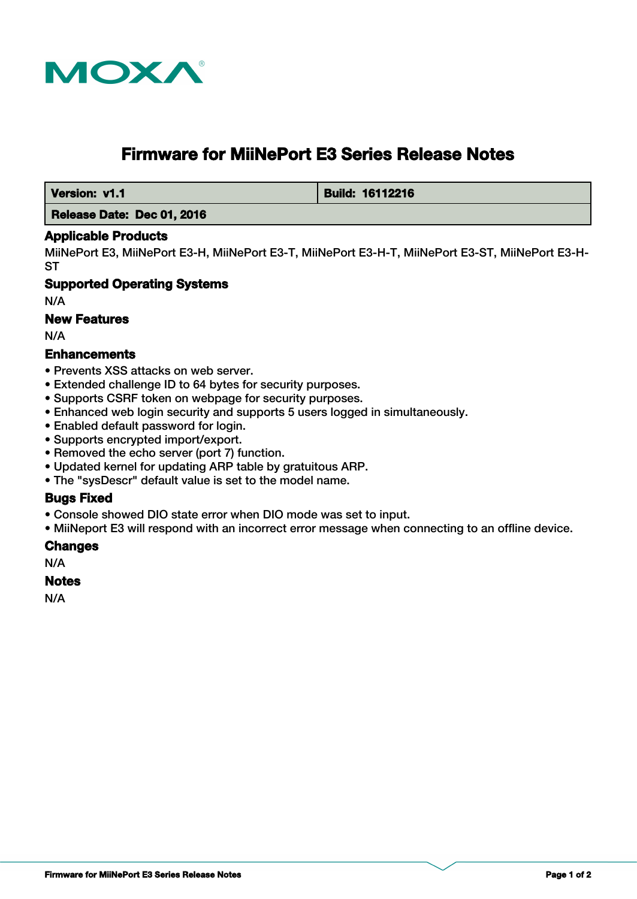

# **Firmware for MiiNePort E3 Series Release Notes**

 **Version: v1.1 Build: 16112216** 

### **Release Date: Dec 01, 2016**

#### **Applicable Products**

MiiNePort E3, MiiNePort E3-H, MiiNePort E3-T, MiiNePort E3-H-T, MiiNePort E3-ST, MiiNePort E3-H-**ST** 

### **Supported Operating Systems**

N/A

#### **New Features**

N/A

#### **Enhancements**

- Prevents XSS attacks on web server.
- Extended challenge ID to 64 bytes for security purposes.
- Supports CSRF token on webpage for security purposes.
- Enhanced web login security and supports 5 users logged in simultaneously.
- Enabled default password for login.
- Supports encrypted import/export.
- Removed the echo server (port 7) function.
- Updated kernel for updating ARP table by gratuitous ARP.
- The "sysDescr" default value is set to the model name.

## **Bugs Fixed**

- Console showed DIO state error when DIO mode was set to input.
- MiiNeport E3 will respond with an incorrect error message when connecting to an offline device.

#### **Changes**

N/A

#### **Notes**

N/A